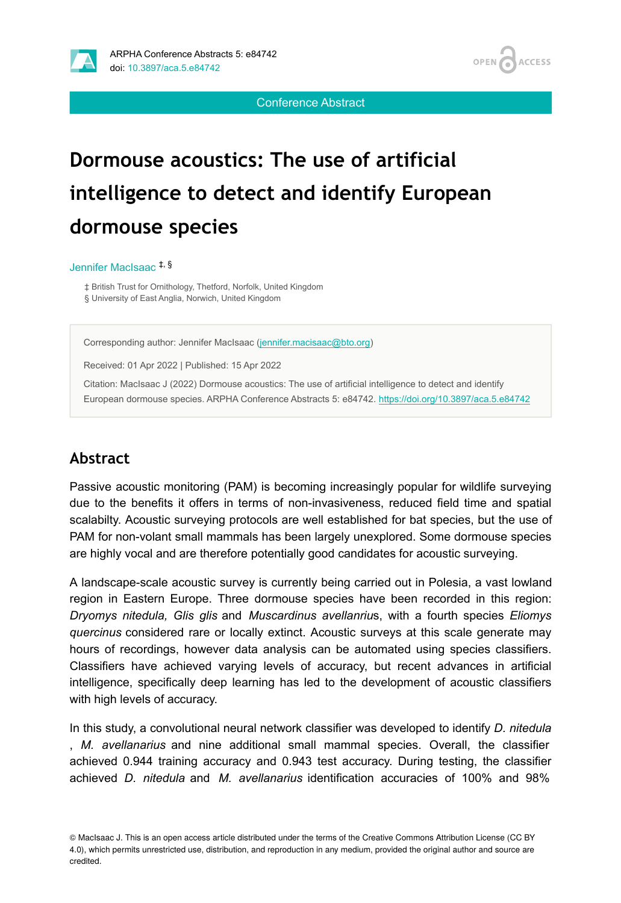

**ACCESS OPEN** 

Conference Abstract

# **Dormouse acoustics: The use of artificial intelligence to detect and identify European dormouse species**

#### Jennifer MacIsaac ‡, §

‡ British Trust for Ornithology, Thetford, Norfolk, United Kingdom § University of East Anglia, Norwich, United Kingdom

Corresponding author: Jennifer MacIsaac ([jennifer.macisaac@bto.org\)](mailto:jennifer.macisaac@bto.org)

Received: 01 Apr 2022 | Published: 15 Apr 2022

Citation: MacIsaac J (2022) Dormouse acoustics: The use of artificial intelligence to detect and identify European dormouse species. ARPHA Conference Abstracts 5: e84742. <https://doi.org/10.3897/aca.5.e84742>

#### **Abstract**

Passive acoustic monitoring (PAM) is becoming increasingly popular for wildlife surveying due to the benefits it offers in terms of non-invasiveness, reduced field time and spatial scalabilty. Acoustic surveying protocols are well established for bat species, but the use of PAM for non-volant small mammals has been largely unexplored. Some dormouse species are highly vocal and are therefore potentially good candidates for acoustic surveying.

A landscape-scale acoustic survey is currently being carried out in Polesia, a vast lowland region in Eastern Europe. Three dormouse species have been recorded in this region: *Dryomys nitedula, Glis glis* and *Muscardinus avellanriu*s, with a fourth species *Eliomys quercinus* considered rare or locally extinct. Acoustic surveys at this scale generate may hours of recordings, however data analysis can be automated using species classifiers. Classifiers have achieved varying levels of accuracy, but recent advances in artificial intelligence, specifically deep learning has led to the development of acoustic classifiers with high levels of accuracy.

In this study, a convolutional neural network classifier was developed to identify *D. nitedula* , *M. avellanarius* and nine additional small mammal species. Overall, the classifier achieved 0.944 training accuracy and 0.943 test accuracy. During testing, the classifier achieved *D. nitedula* and *M. avellanarius* identification accuracies of 100% and 98%

© MacIsaac J. This is an open access article distributed under the terms of the Creative Commons Attribution License (CC BY 4.0), which permits unrestricted use, distribution, and reproduction in any medium, provided the original author and source are credited.